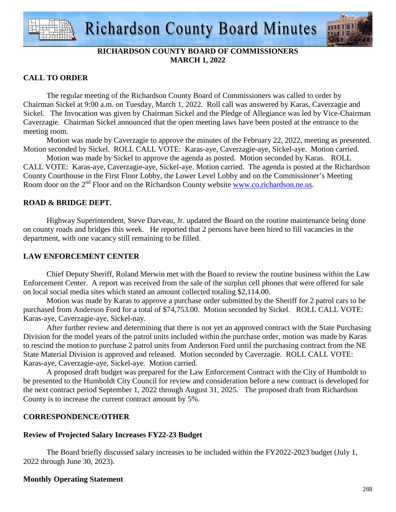

## **RICHARDSON COUNTY BOARD OF COMMISSIONERS MARCH 1, 2022**

### **CALL TO ORDER**

 The regular meeting of the Richardson County Board of Commissioners was called to order by Chairman Sickel at 9:00 a.m. on Tuesday, March 1, 2022. Roll call was answered by Karas, Caverzagie and Sickel. The Invocation was given by Chairman Sickel and the Pledge of Allegiance was led by Vice-Chairman Caverzagie. Chairman Sickel announced that the open meeting laws have been posted at the entrance to the meeting room.

 Motion was made by Caverzagie to approve the minutes of the February 22, 2022, meeting as presented. Motion seconded by Sickel. ROLL CALL VOTE: Karas-aye, Caverzagie-aye, Sickel-aye. Motion carried.

 Motion was made by Sickel to approve the agenda as posted. Motion seconded by Karas. ROLL CALL VOTE: Karas-aye, Caverzagie-aye, Sickel-aye. Motion carried. The agenda is posted at the Richardson County Courthouse in the First Floor Lobby, the Lower Level Lobby and on the Commissioner's Meeting Room door on the 2<sup>nd</sup> Floor and on the Richardson County website www.co.richardson.ne.us.

### **ROAD & BRIDGE DEPT.**

 Highway Superintendent, Steve Darveau, Jr. updated the Board on the routine maintenance being done on county roads and bridges this week. He reported that 2 persons have been hired to fill vacancies in the department, with one vacancy still remaining to be filled.

### **LAW ENFORCEMENT CENTER**

 Chief Deputy Sheriff, Roland Merwin met with the Board to review the routine business within the Law Enforcement Center. A report was received from the sale of the surplus cell phones that were offered for sale on local social media sites which stated an amount collected totaling \$2,114.00.

 Motion was made by Karas to approve a purchase order submitted by the Sheriff for 2 patrol cars to be purchased from Anderson Ford for a total of \$74,753.00. Motion seconded by Sickel. ROLL CALL VOTE: Karas-aye, Caverzagie-aye, Sickel-nay.

 After further review and determining that there is not yet an approved contract with the State Purchasing Division for the model years of the patrol units included within the purchase order, motion was made by Karas to rescind the motion to purchase 2 patrol units from Anderson Ford until the purchasing contract from the NE State Material Division is approved and released. Motion seconded by Caverzagie. ROLL CALL VOTE: Karas-aye, Caverzagie-aye, Sickel-aye. Motion carried.

 A proposed draft budget was prepared for the Law Enforcement Contract with the City of Humboldt to be presented to the Humboldt City Council for review and consideration before a new contract is developed for the next contract period September 1, 2022 through August 31, 2025. The proposed draft from Richardson County is to increase the current contract amount by 5%.

### **CORRESPONDENCE/OTHER**

# **Review of Projected Salary Increases FY22-23 Budget**

 The Board briefly discussed salary increases to be included within the FY2022-2023 budget (July 1, 2022 through June 30, 2023).

# **Monthly Operating Statement**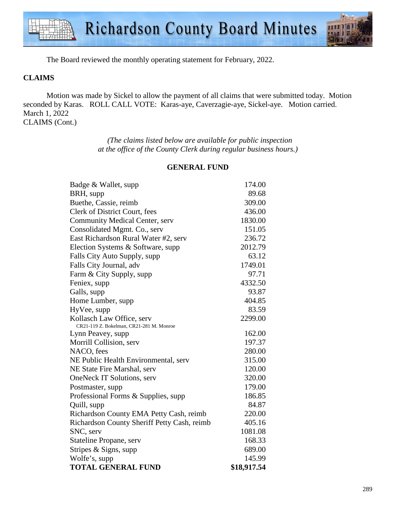

The Board reviewed the monthly operating statement for February, 2022.

### **CLAIMS**

Motion was made by Sickel to allow the payment of all claims that were submitted today. Motion seconded by Karas. ROLL CALL VOTE: Karas-aye, Caverzagie-aye, Sickel-aye. Motion carried. March 1, 2022 CLAIMS (Cont.)

> *(The claims listed below are available for public inspection at the office of the County Clerk during regular business hours.)*

| Badge & Wallet, supp                        | 174.00      |
|---------------------------------------------|-------------|
| BRH, supp                                   | 89.68       |
| Buethe, Cassie, reimb                       | 309.00      |
| Clerk of District Court, fees               | 436.00      |
| Community Medical Center, serv              | 1830.00     |
| Consolidated Mgmt. Co., serv                | 151.05      |
| East Richardson Rural Water #2, serv        | 236.72      |
| Election Systems & Software, supp           | 2012.79     |
| Falls City Auto Supply, supp                | 63.12       |
| Falls City Journal, adv                     | 1749.01     |
| Farm & City Supply, supp                    | 97.71       |
| Feniex, supp                                | 4332.50     |
| Galls, supp                                 | 93.87       |
| Home Lumber, supp                           | 404.85      |
| HyVee, supp                                 | 83.59       |
| Kollasch Law Office, serv                   | 2299.00     |
| CR21-119 Z. Bokelman, CR21-281 M. Monroe    |             |
| Lynn Peavey, supp                           | 162.00      |
| Morrill Collision, serv                     | 197.37      |
| NACO, fees                                  | 280.00      |
| NE Public Health Environmental, serv        | 315.00      |
| NE State Fire Marshal, serv                 | 120.00      |
| OneNeck IT Solutions, serv                  | 320.00      |
| Postmaster, supp                            | 179.00      |
| Professional Forms & Supplies, supp         | 186.85      |
| Quill, supp                                 | 84.87       |
| Richardson County EMA Petty Cash, reimb     | 220.00      |
| Richardson County Sheriff Petty Cash, reimb | 405.16      |
| SNC, serv                                   | 1081.08     |
| Stateline Propane, serv                     | 168.33      |
| Stripes & Signs, supp                       | 689.00      |
| Wolfe's, supp                               | 145.99      |
| <b>TOTAL GENERAL FUND</b>                   | \$18,917.54 |

#### **GENERAL FUND**